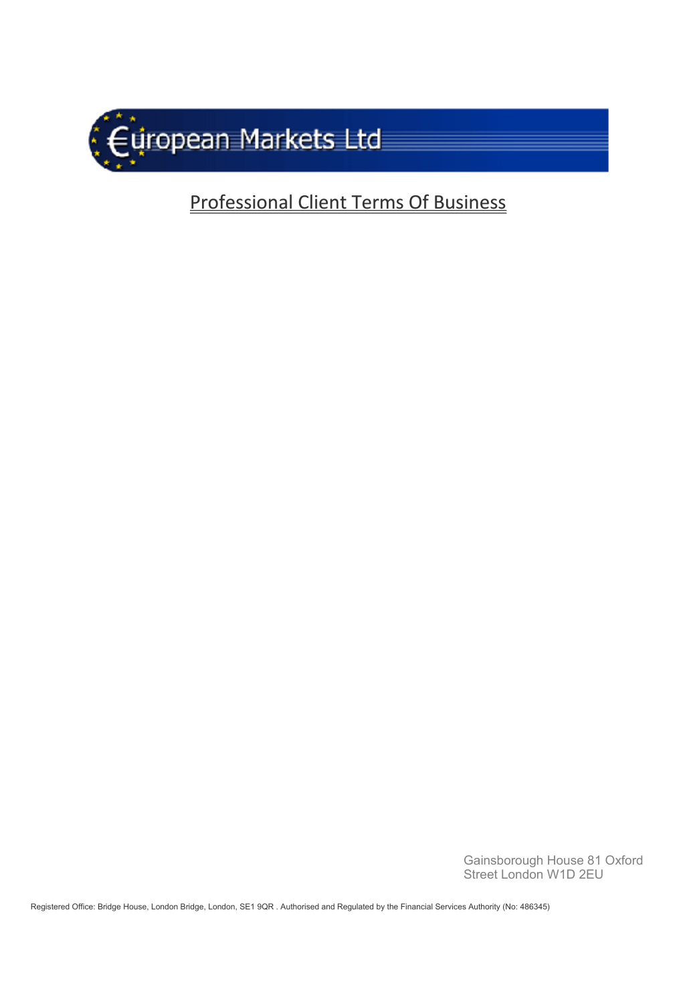

# Professional Client Terms Of Business

Gainsborough House 81 Oxford Street London W1D 2EU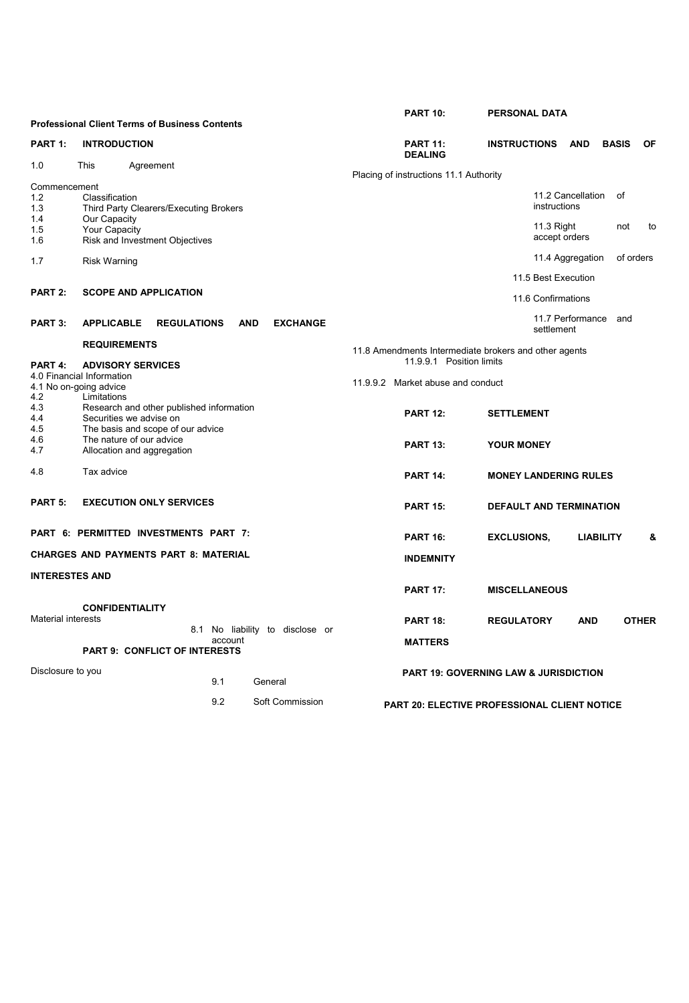|                                                     |                                                                                                          |                                                        |  |         |            |                                 |                                                       | <b>PART 10:</b>                                     | <b>PERSONAL DATA</b>               |                    |                      |                  |              |
|-----------------------------------------------------|----------------------------------------------------------------------------------------------------------|--------------------------------------------------------|--|---------|------------|---------------------------------|-------------------------------------------------------|-----------------------------------------------------|------------------------------------|--------------------|----------------------|------------------|--------------|
|                                                     |                                                                                                          | <b>Professional Client Terms of Business Contents</b>  |  |         |            |                                 |                                                       |                                                     |                                    |                    |                      |                  |              |
| PART 1:                                             | <b>INTRODUCTION</b>                                                                                      |                                                        |  |         |            |                                 |                                                       | <b>PART 11:</b><br><b>DEALING</b>                   | <b>INSTRUCTIONS</b>                |                    | <b>AND</b>           | <b>BASIS</b>     | <b>OF</b>    |
| 1.0                                                 | This                                                                                                     | Agreement                                              |  |         |            |                                 |                                                       |                                                     |                                    |                    |                      |                  |              |
| Commencement                                        |                                                                                                          |                                                        |  |         |            |                                 | Placing of instructions 11.1 Authority                |                                                     |                                    |                    |                      |                  |              |
| 1.2<br>1.3                                          | Classification<br>Third Party Clearers/Executing Brokers                                                 |                                                        |  |         |            |                                 |                                                       |                                                     |                                    | instructions       | 11.2 Cancellation    | 0f               |              |
| 1.4<br>1.5<br>1.6                                   | Our Capacity<br>Your Capacity                                                                            | Risk and Investment Objectives                         |  |         |            |                                 |                                                       |                                                     | 11.3 Right<br>not<br>accept orders |                    |                      |                  | to           |
| 1.7                                                 | <b>Risk Warning</b>                                                                                      |                                                        |  |         |            |                                 |                                                       |                                                     |                                    |                    | 11.4 Aggregation     |                  | of orders    |
|                                                     |                                                                                                          |                                                        |  |         |            |                                 | 11.5 Best Execution                                   |                                                     |                                    |                    |                      |                  |              |
| PART 2:                                             | <b>SCOPE AND APPLICATION</b>                                                                             |                                                        |  |         |            |                                 |                                                       |                                                     |                                    | 11.6 Confirmations |                      |                  |              |
| PART 3:                                             | <b>APPLICABLE</b>                                                                                        | <b>REGULATIONS</b>                                     |  |         | <b>AND</b> | <b>EXCHANGE</b>                 |                                                       |                                                     |                                    | settlement         | 11.7 Performance and |                  |              |
|                                                     | <b>REQUIREMENTS</b>                                                                                      |                                                        |  |         |            |                                 | 11.8 Amendments Intermediate brokers and other agents |                                                     |                                    |                    |                      |                  |              |
| PART 4:                                             | <b>ADVISORY SERVICES</b>                                                                                 |                                                        |  |         |            |                                 | 11.9.9.1 Position limits                              |                                                     |                                    |                    |                      |                  |              |
| 4.0 Financial Information<br>4.1 No on-going advice |                                                                                                          |                                                        |  |         |            |                                 | 11.9.9.2 Market abuse and conduct                     |                                                     |                                    |                    |                      |                  |              |
| 4.2                                                 | Limitations                                                                                              |                                                        |  |         |            |                                 |                                                       |                                                     |                                    |                    |                      |                  |              |
| 4.3<br>4.4<br>4.5                                   | Research and other published information<br>Securities we advise on<br>The basis and scope of our advice |                                                        |  |         |            |                                 |                                                       | <b>PART 12:</b>                                     | <b>SETTLEMENT</b>                  |                    |                      |                  |              |
| 4.6<br>4.7                                          |                                                                                                          | The nature of our advice<br>Allocation and aggregation |  |         |            |                                 |                                                       | <b>PART 13:</b>                                     | <b>YOUR MONEY</b>                  |                    |                      |                  |              |
| 4.8                                                 | Tax advice                                                                                               |                                                        |  |         |            |                                 |                                                       | <b>PART 14:</b>                                     | <b>MONEY LANDERING RULES</b>       |                    |                      |                  |              |
| PART 5:                                             |                                                                                                          | <b>EXECUTION ONLY SERVICES</b>                         |  |         |            |                                 |                                                       | <b>PART 15:</b>                                     | <b>DEFAULT AND TERMINATION</b>     |                    |                      |                  |              |
|                                                     |                                                                                                          | PART 6: PERMITTED INVESTMENTS PART 7:                  |  |         |            |                                 |                                                       | <b>PART 16:</b>                                     | <b>EXCLUSIONS,</b>                 |                    |                      | <b>LIABILITY</b> | &            |
| <b>CHARGES AND PAYMENTS PART 8: MATERIAL</b>        |                                                                                                          |                                                        |  |         |            |                                 | <b>INDEMNITY</b>                                      |                                                     |                                    |                    |                      |                  |              |
| <b>INTERESTES AND</b>                               |                                                                                                          |                                                        |  |         |            |                                 |                                                       |                                                     |                                    |                    |                      |                  |              |
|                                                     |                                                                                                          |                                                        |  |         |            |                                 |                                                       | <b>PART 17:</b>                                     | <b>MISCELLANEOUS</b>               |                    |                      |                  |              |
| <b>Material interests</b>                           | <b>CONFIDENTIALITY</b>                                                                                   |                                                        |  |         |            | 8.1 No liability to disclose or |                                                       | <b>PART 18:</b>                                     | <b>REGULATORY</b>                  |                    | <b>AND</b>           |                  | <b>OTHER</b> |
|                                                     |                                                                                                          | <b>PART 9: CONFLICT OF INTERESTS</b>                   |  | account |            |                                 |                                                       | <b>MATTERS</b>                                      |                                    |                    |                      |                  |              |
|                                                     |                                                                                                          |                                                        |  |         |            |                                 |                                                       |                                                     |                                    |                    |                      |                  |              |
| Disclosure to you                                   |                                                                                                          |                                                        |  | 9.1     | General    |                                 |                                                       | <b>PART 19: GOVERNING LAW &amp; JURISDICTION</b>    |                                    |                    |                      |                  |              |
|                                                     |                                                                                                          |                                                        |  | 9.2     |            | Soft Commission                 |                                                       | <b>PART 20: ELECTIVE PROFESSIONAL CLIENT NOTICE</b> |                                    |                    |                      |                  |              |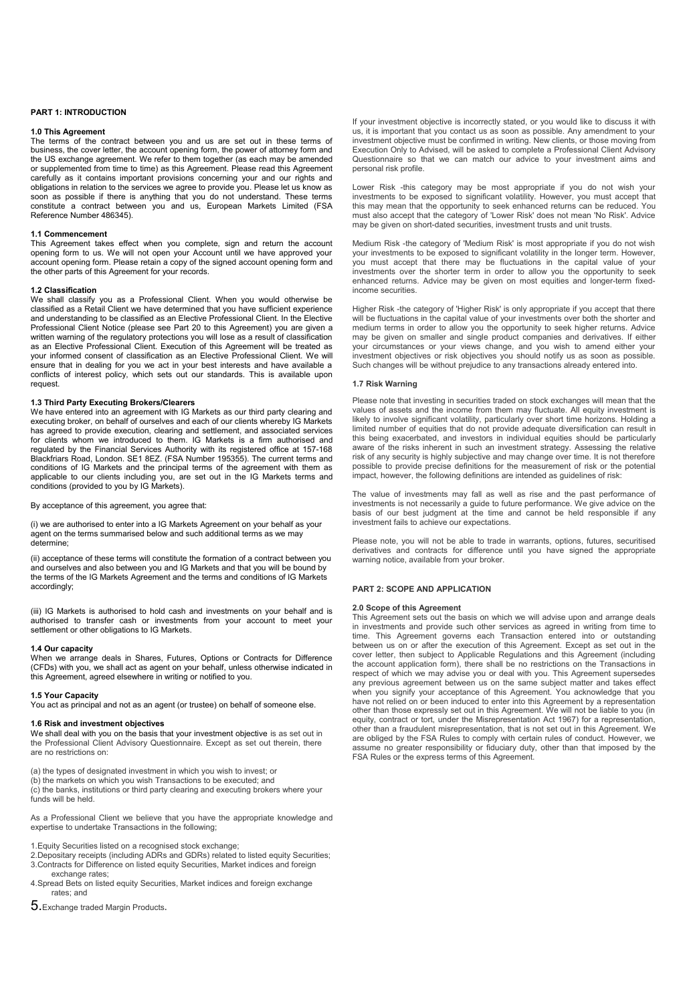# **PART 1: INTRODUCTION**

# **1.0 This Agreement**

The terms of the contract between you and us are set out in these terms of business, the cover letter, the account opening form, the power of attorney form and the US exchange agreement. We refer to them together (as each may be amended or supplemented from time to time) as this Agreement. Please read this Agreement carefully as it contains important provisions concerning your and our rights and obligations in relation to the services we agree to provide you. Please let us know as soon as possible if there is anything that you do not understand. These terms constitute a contract between you and us, European Markets Limited (FSA Reference Number 486345).

# **1.1 Commencement**

This Agreement takes effect when you complete, sign and return the account opening form to us. We will not open your Account until we have approved your account opening form. Please retain a copy of the signed account opening form and the other parts of this Agreement for your records.

# **1.2 Classification**

We shall classify you as a Professional Client. When you would otherwise be classified as a Retail Client we have determined that you have sufficient experience and understanding to be classified as an Elective Professional Client. In the Elective Professional Client Notice (please see Part 20 to this Agreement) you are given a written warning of the regulatory protections you will lose as a result of classification as an Elective Professional Client. Execution of this Agreement will be treated as your informed consent of classification as an Elective Professional Client. We will ensure that in dealing for you we act in your best interests and have available a conflicts of interest policy, which sets out our standards. This is available upon request.

# **1.3 Third Party Executing Brokers/Clearers**

We have entered into an agreement with IG Markets as our third party clearing and executing broker, on behalf of ourselves and each of our clients whereby IG Markets has agreed to provide execution, clearing and settlement, and associated services for clients whom we introduced to them. IG Markets is a firm authorised and regulated by the Financial Services Authority with its registered office at 157-168 Blackfriars Road, London. SE1 8EZ. (FSA Number 195355). The current terms and conditions of IG Markets and the principal terms of the agreement with them as applicable to our clients including you, are set out in the IG Markets terms and conditions (provided to you by IG Markets).

By acceptance of this agreement, you agree that:

(i) we are authorised to enter into a IG Markets Agreement on your behalf as your agent on the terms summarised below and such additional terms as we may determine;

(ii) acceptance of these terms will constitute the formation of a contract between you and ourselves and also between you and IG Markets and that you will be bound by the terms of the IG Markets Agreement and the terms and conditions of IG Markets accordingly;

(iii) IG Markets is authorised to hold cash and investments on your behalf and is authorised to transfer cash or investments from your account to meet your settlement or other obligations to IG Markets.

### **1.4 Our capacity**

When we arrange deals in Shares, Futures, Options or Contracts for Difference (CFDs) with you, we shall act as agent on your behalf, unless otherwise indicated in this Agreement, agreed elsewhere in writing or notified to you.

# **1.5 Your Capacity**

You act as principal and not as an agent (or trustee) on behalf of someone else.

# **1.6 Risk and investment objectives**

We shall deal with you on the basis that your investment objective is as set out in the Professional Client Advisory Questionnaire. Except as set out therein, there are no restrictions on:

(a) the types of designated investment in which you wish to invest; or

(b) the markets on which you wish Transactions to be executed; and (c) the banks, institutions or third party clearing and executing brokers where your funds will be held.

As a Professional Client we believe that you have the appropriate knowledge and expertise to undertake Transactions in the following;

- 1.Equity Securities listed on a recognised stock exchange;
- 2.Depositary receipts (including ADRs and GDRs) related to listed equity Securities; 3.Contracts for Difference on listed equity Securities, Market indices and foreign exchange rates;
- 4.Spread Bets on listed equity Securities, Market indices and foreign exchange rates; and

5.Exchange traded Margin Products**.** 

If your investment objective is incorrectly stated, or you would like to discuss it with us, it is important that you contact us as soon as possible. Any amendment to your investment objective must be confirmed in writing. New clients, or those moving from Execution Only to Advised, will be asked to complete a Professional Client Advisory Questionnaire so that we can match our advice to your investment aims and personal risk profile.

Lower Risk -this category may be most appropriate if you do not wish your investments to be exposed to significant volatility. However, you must accept that this may mean that the opportunity to seek enhanced returns can be reduced. You must also accept that the category of 'Lower Risk' does not mean 'No Risk'. Advice may be given on short-dated securities, investment trusts and unit trusts.

Medium Risk -the category of 'Medium Risk' is most appropriate if you do not wish your investments to be exposed to significant volatility in the longer term. However, you must accept that there may be fluctuations in the capital value of your investments over the shorter term in order to allow you the opportunity to seek enhanced returns. Advice may be given on most equities and longer-term fixedincome securities.

Higher Risk -the category of 'Higher Risk' is only appropriate if you accept that there will be fluctuations in the capital value of your investments over both the shorter and medium terms in order to allow you the opportunity to seek higher returns. Advice may be given on smaller and single product companies and derivatives. If either your circumstances or your views change, and you wish to amend either your investment objectives or risk objectives you should notify us as soon as possible. Such changes will be without prejudice to any transactions already entered into.

### **1.7 Risk Warning**

Please note that investing in securities traded on stock exchanges will mean that the values of assets and the income from them may fluctuate. All equity investment is likely to involve significant volatility, particularly over short time horizons. Holding a limited number of equities that do not provide adequate diversification can result in this being exacerbated, and investors in individual equities should be particularly aware of the risks inherent in such an investment strategy. Assessing the relative risk of any security is highly subjective and may change over time. It is not therefore possible to provide precise definitions for the measurement of risk or the potential impact, however, the following definitions are intended as guidelines of risk:

The value of investments may fall as well as rise and the past performance of investments is not necessarily a guide to future performance. We give advice on the basis of our best judgment at the time and cannot be held responsible if any investment fails to achieve our expectations.

Please note, you will not be able to trade in warrants, options, futures, securitised derivatives and contracts for difference until you have signed the appropriate warning notice, available from your broker.

### **PART 2: SCOPE AND APPLICATION**

# **2.0 Scope of this Agreement**

This Agreement sets out the basis on which we will advise upon and arrange deals in investments and provide such other services as agreed in writing from time to time. This Agreement governs each Transaction entered into or outstanding between us on or after the execution of this Agreement. Except as set out in the cover letter, then subject to Applicable Regulations and this Agreement (including the account application form), there shall be no restrictions on the Transactions in respect of which we may advise you or deal with you. This Agreement supersedes any previous agreement between us on the same subject matter and takes effect when you signify your acceptance of this Agreement. You acknowledge that you have not relied on or been induced to enter into this Agreement by a representation other than those expressly set out in this Agreement. We will not be liable to you (in equity, contract or tort, under the Misrepresentation Act 1967) for a representation, other than a fraudulent misrepresentation, that is not set out in this Agreement. We are obliged by the FSA Rules to comply with certain rules of conduct. However, we assume no greater responsibility or fiduciary duty, other than that imposed by the FSA Rules or the express terms of this Agreement.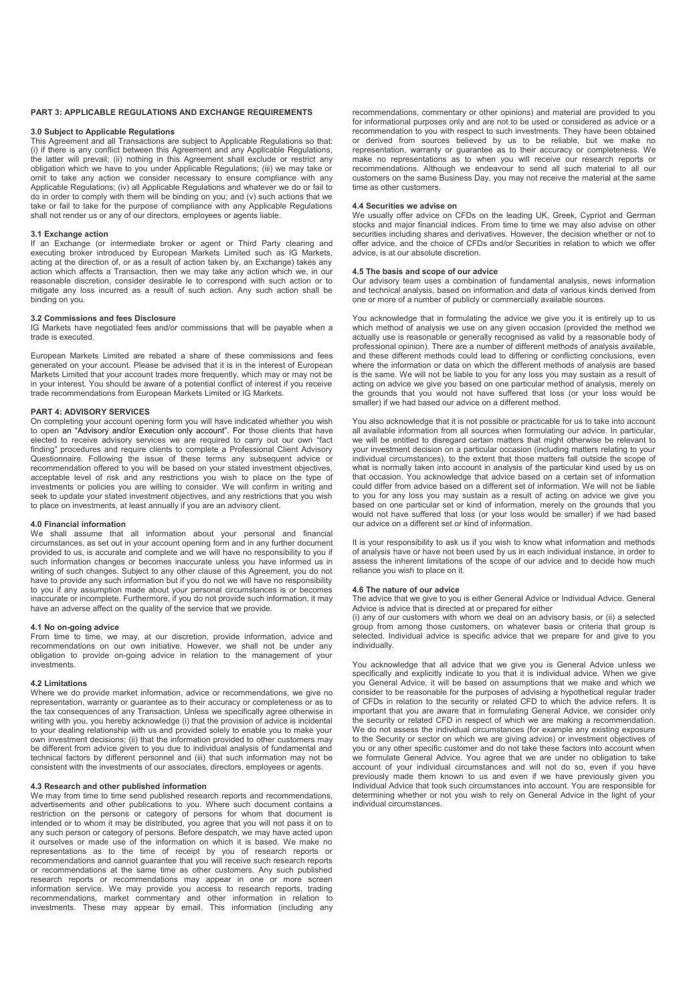### **PART 3: APPLICABLE REGULATIONS AND EXCHANGE REQUIREMENTS**

# **3.0 Subject to Applicable Regulations**

This Agreement and all Transactions are subject to Applicable Regulations so that: (i) if there is any conflict between this Agreement and any Applicable Regulations, the latter will prevail; (ii) nothing in this Agreement shall exclude or restrict any obligation which we have to you under Applicable Regulations; (iii) we may take or omit to take any action we consider necessary to ensure compliance with any Applicable Regulations; (iv) all Applicable Regulations and whatever we do or fail to do in order to comply with them will be binding on you; and (v) such actions that we take or fail to take for the purpose of compliance with any Applicable Regulations shall not render us or any of our directors, employees or agents liable.

# **3.1 Exchange action**

If an Exchange (or intermediate broker or agent or Third Party clearing and executing broker introduced by European Markets Limited such as IG Markets, acting at the direction of, or as a result of action taken by, an Exchange) takes any action which affects a Transaction, then we may take any action which we, in our reasonable discretion, consider desirable le to correspond with such action or to mitigate any loss incurred as a result of such action. Any such action shall be binding on you.

### **3.2 Commissions and fees Disclosure**

IG Markets have negotiated fees and/or commissions that will be payable when a trade is executed.

European Markets Limited are rebated a share of these commissions and fees generated on your account. Please be advised that it is in the interest of European Markets Limited that your account trades more frequently, which may or may not be in your interest. You should be aware of a potential conflict of interest if you receive trade recommendations from European Markets Limited or IG Markets.

# **PART 4: ADVISORY SERVICES**

On completing your account opening form you will have indicated whether you wish to open an "Advisory and/or Execution only account". For those clients that have elected to receive advisory services we are required to carry out our own "fact finding" procedures and require clients to complete a Professional Client Advisory Questionnaire. Following the issue of these terms any subsequent advice or recommendation offered to you will be based on your stated investment objectives, acceptable level of risk and any restrictions you wish to place on the type of investments or policies you are willing to consider. We will confirm in writing and seek to update your stated investment objectives, and any restrictions that you wish to place on investments, at least annually if you are an advisory client.

### **4.0 Financial information**

We shall assume that all information about your personal and financial circumstances, as set out in your account opening form and in any further document provided to us, is accurate and complete and we will have no responsibility to you if such information changes or becomes inaccurate unless you have informed us in writing of such changes. Subject to any other clause of this Agreement, you do not have to provide any such information but if you do not we will have no responsibility to you if any assumption made about your personal circumstances is or becomes inaccurate or incomplete. Furthermore, if you do not provide such information, it may have an adverse affect on the quality of the service that we provide.

### **4.1 No on-going advice**

From time to time, we may, at our discretion, provide information, advice and recommendations on our own initiative. However, we shall not be under any obligation to provide on-going advice in relation to the management of your investments.

### **4.2 Limitations**

Where we do provide market information, advice or recommendations, we give no representation, warranty or guarantee as to their accuracy or completeness or as to the tax consequences of any Transaction. Unless we specifically agree otherwise in writing with you, you hereby acknowledge (i) that the provision of advice is incidental to your dealing relationship with us and provided solely to enable you to make your own investment decisions; (ii) that the information provided to other customers may be different from advice given to you due to individual analysis of fundamental and technical factors by different personnel and (iii) that such information may not be consistent with the investments of our associates, directors, employees or agents.

# **4.3 Research and other published information**

We may from time to time send published research reports and recommendations, advertisements and other publications to you. Where such document contains a restriction on the persons or category of persons for whom that document is intended or to whom it may be distributed, you agree that you will not pass it on to any such person or category of persons. Before despatch, we may have acted upon it ourselves or made use of the information on which it is based. We make no representations as to the time of receipt by you of research reports or recommendations and cannot guarantee that you will receive such research reports or recommendations at the same time as other customers. Any such published research reports or recommendations may appear in one or more screen information service. We may provide you access to research reports, trading recommendations, market commentary and other information in relation to investments. These may appear by email. This information (including any

recommendations, commentary or other opinions) and material are provided to you for informational purposes only and are not to be used or considered as advice or a recommendation to you with respect to such investments. They have been obtained or derived from sources believed by us to be reliable, but we make no representation, warranty or guarantee as to their accuracy or completeness. We make no representations as to when you will receive our research reports or recommendations. Although we endeavour to send all such material to all our customers on the same Business Day, you may not receive the material at the same time as other customers.

#### **4.4 Securities we advise on**

We usually offer advice on CFDs on the leading UK, Greek, Cypriot and German stocks and major financial indices. From time to time we may also advise on other securities including shares and derivatives. However, the decision whether or not to offer advice, and the choice of CFDs and/or Securities in relation to which we offer advice, is at our absolute discretion.

# **4.5 The basis and scope of our advice**

Our advisory team uses a combination of fundamental analysis, news information and technical analysis, based on information and data of various kinds derived from one or more of a number of publicly or commercially available sources.

You acknowledge that in formulating the advice we give you it is entirely up to us which method of analysis we use on any given occasion (provided the method we actually use is reasonable or generally recognised as valid by a reasonable body of professional opinion). There are a number of different methods of analysis available, and these different methods could lead to differing or conflicting conclusions, even where the information or data on which the different methods of analysis are based is the same. We will not be liable to you for any loss you may sustain as a result of acting on advice we give you based on one particular method of analysis, merely on the grounds that you would not have suffered that loss (or your loss would be smaller) if we had based our advice on a different method.

You also acknowledge that it is not possible or practicable for us to take into account all available information from all sources when formulating our advice. In particular, we will be entitled to disregard certain matters that might otherwise be relevant to your investment decision on a particular occasion (including matters relating to your individual circumstances), to the extent that those matters fall outside the scope of what is normally taken into account in analysis of the particular kind used by us on that occasion. You acknowledge that advice based on a certain set of information could differ from advice based on a different set of information. We will not be liable to you for any loss you may sustain as a result of acting on advice we give you based on one particular set or kind of information, merely on the grounds that you would not have suffered that loss (or your loss would be smaller) if we had based our advice on a different set or kind of information.

It is your responsibility to ask us if you wish to know what information and methods of analysis have or have not been used by us in each individual instance, in order to assess the inherent limitations of the scope of our advice and to decide how much reliance you wish to place on it.

#### **4.6 The nature of our advice**

The advice that we give to you is either General Advice or Individual Advice. General Advice is advice that is directed at or prepared for either

(i) any of our customers with whom we deal on an advisory basis, or (ii) a selected group from among those customers, on whatever basis or criteria that group is selected. Individual advice is specific advice that we prepare for and give to you individually.

You acknowledge that all advice that we give you is General Advice unless we specifically and explicitly indicate to you that it is individual advice. When we give you General Advice, it will be based on assumptions that we make and which we consider to be reasonable for the purposes of advising a hypothetical regular trader of CFDs in relation to the security or related CFD to which the advice refers. It is important that you are aware that in formulating General Advice, we consider only the security or related CFD in respect of which we are making a recommendation. We do not assess the individual circumstances (for example any existing exposure to the Security or sector on which we are giving advice) or investment objectives of you or any other specific customer and do not take these factors into account when we formulate General Advice. You agree that we are under no obligation to take account of your individual circumstances and will not do so, even if you have previously made them known to us and even if we have previously given you Individual Advice that took such circumstances into account. You are responsible for determining whether or not you wish to rely on General Advice in the light of your individual circumstances.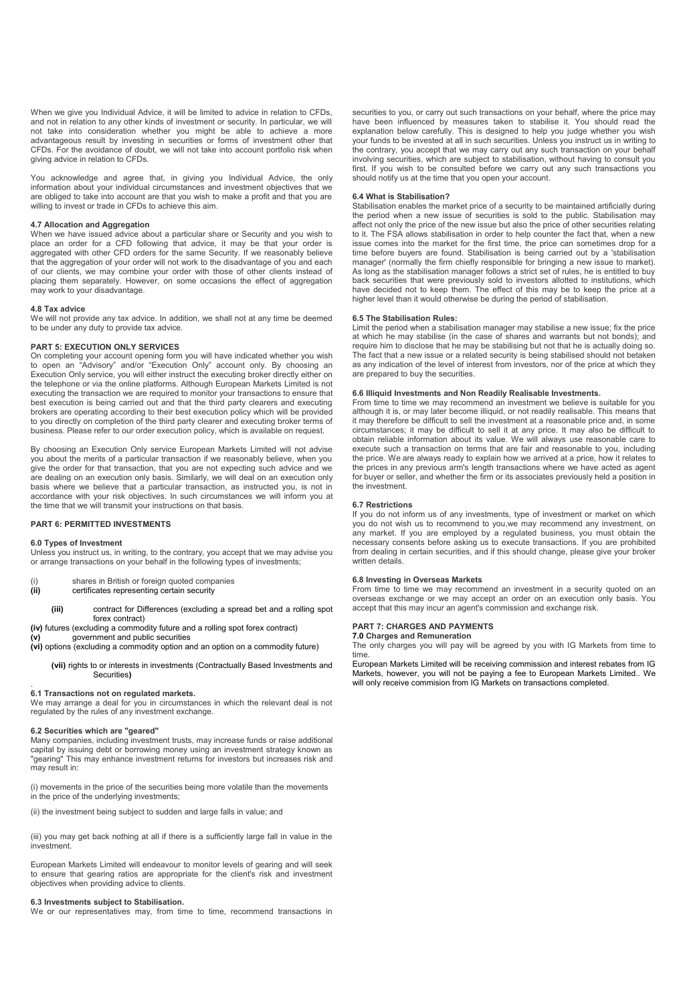When we give you Individual Advice, it will be limited to advice in relation to CFDs, and not in relation to any other kinds of investment or security. In particular, we will not take into consideration whether you might be able to achieve a more advantageous result by investing in securities or forms of investment other that CFDs. For the avoidance of doubt, we will not take into account portfolio risk when giving advice in relation to CFDs.

You acknowledge and agree that, in giving you Individual Advice, the only information about your individual circumstances and investment objectives that we are obliged to take into account are that you wish to make a profit and that you are willing to invest or trade in CFDs to achieve this aim.

### **4.7 Allocation and Aggregation**

When we have issued advice about a particular share or Security and you wish to place an order for a CFD following that advice, it may be that your order is aggregated with other CFD orders for the same Security. If we reasonably believe that the aggregation of your order will not work to the disadvantage of you and each of our clients, we may combine your order with those of other clients instead of placing them separately. However, on some occasions the effect of aggregation may work to your disadvantage.

### **4.8 Tax advice**

We will not provide any tax advice. In addition, we shall not at any time be deemed to be under any duty to provide tax advice.

### **PART 5: EXECUTION ONLY SERVICES**

On completing your account opening form you will have indicated whether you wish to open an "Advisory" and/or "Execution Only" account only. By choosing an Execution Only service, you will either instruct the executing broker directly either on the telephone or via the online platforms. Although European Markets Limited is not executing the transaction we are required to monitor your transactions to ensure that best execution is being carried out and that the third party clearers and executing brokers are operating according to their best execution policy which will be provided to you directly on completion of the third party clearer and executing broker terms of business. Please refer to our order execution policy, which is available on request.

By choosing an Execution Only service European Markets Limited will not advise you about the merits of a particular transaction if we reasonably believe, when you give the order for that transaction, that you are not expecting such advice and we are dealing on an execution only basis. Similarly, we will deal on an execution only basis where we believe that a particular transaction, as instructed you, is not in accordance with your risk objectives. In such circumstances we will inform you at the time that we will transmit your instructions on that basis.

### **PART 6: PERMITTED INVESTMENTS**

### **6.0 Types of Investment**

Unless you instruct us, in writing, to the contrary, you accept that we may advise you or arrange transactions on your behalf in the following types of investments;

- (i) shares in British or foreign quoted companies<br>
(ii) certificates representing certain security certificates representing certain security
- - **(iii)** contract for Differences (excluding a spread bet and a rolling spot forex contract)
- **(iv)** futures (excluding a commodity future and a rolling spot forex contract)
- **(v)** government and public securities
- **(vi)** options (excluding a commodity option and an option on a commodity future)
	- **(vii)** rights to or interests in investments (Contractually Based Investments and Securities**)**

#### . **6.1 Transactions not on regulated markets.**

We may arrange a deal for you in circumstances in which the relevant deal is not regulated by the rules of any investment exchange.

### **6.2 Securities which are "geared"**

Many companies, including investment trusts, may increase funds or raise additional capital by issuing debt or borrowing money using an investment strategy known as "gearing" This may enhance investment returns for investors but increases risk and may result in:

(i) movements in the price of the securities being more volatile than the movements in the price of the underlying investments;

(ii) the investment being subject to sudden and large falls in value; and

(iii) you may get back nothing at all if there is a sufficiently large fall in value in the investment.

European Markets Limited will endeavour to monitor levels of gearing and will seek to ensure that gearing ratios are appropriate for the client's risk and investment objectives when providing advice to clients.

# **6.3 Investments subject to Stabilisation.**

We or our representatives may, from time to time, recommend transactions in

securities to you, or carry out such transactions on your behalf, where the price may have been influenced by measures taken to stabilise it. You should read the explanation below carefully. This is designed to help you judge whether you wish your funds to be invested at all in such securities. Unless you instruct us in writing to the contrary, you accept that we may carry out any such transaction on your behalf involving securities, which are subject to stabilisation, without having to consult you first. If you wish to be consulted before we carry out any such transactions you should notify us at the time that you open your account.

### **6.4 What is Stabilisation?**

Stabilisation enables the market price of a security to be maintained artificially during the period when a new issue of securities is sold to the public. Stabilisation may affect not only the price of the new issue but also the price of other securities relating to it. The FSA allows stabilisation in order to help counter the fact that, when a new issue comes into the market for the first time, the price can sometimes drop for a time before buyers are found. Stabilisation is being carried out by a 'stabilisation manager' (normally the firm chiefly responsible for bringing a new issue to market). As long as the stabilisation manager follows a strict set of rules, he is entitled to buy back securities that were previously sold to investors allotted to institutions, which have decided not to keep them. The effect of this may be to keep the price at a higher level than it would otherwise be during the period of stabilisation.

# **6.5 The Stabilisation Rules:**

Limit the period when a stabilisation manager may stabilise a new issue; fix the price at which he may stabilise (in the case of shares and warrants but not bonds); and require him to disclose that he may be stabilising but not that he is actually doing so. The fact that a new issue or a related security is being stabilised should not betaken as any indication of the level of interest from investors, nor of the price at which they are prepared to buy the securities.

# **6.6 Illiquid Investments and Non Readily Realisable Investments.**

From time to time we may recommend an investment we believe is suitable for you although it is, or may later become illiquid, or not readily realisable. This means that it may therefore be difficult to sell the investment at a reasonable price and, in some circumstances; it may be difficult to sell it at any price. It may also be difficult to obtain reliable information about its value. We will always use reasonable care to execute such a transaction on terms that are fair and reasonable to you, including the price. We are always ready to explain how we arrived at a price, how it relates to the prices in any previous arm's length transactions where we have acted as agent for buyer or seller, and whether the firm or its associates previously held a position in the investment.

### **6.7 Restrictions**

If you do not inform us of any investments, type of investment or market on which you do not wish us to recommend to you,we may recommend any investment, on any market. If you are employed by a regulated business, you must obtain the necessary consents before asking us to execute transactions. If you are prohibited from dealing in certain securities, and if this should change, please give your broker written details.

# **6.8 Investing in Overseas Markets**

From time to time we may recommend an investment in a security quoted on an overseas exchange or we may accept an order on an execution only basis. You accept that this may incur an agent's commission and exchange risk.

### **PART 7: CHARGES AND PAYMENTS**

# **7.0 Charges and Remuneration**

The only charges you will pay will be agreed by you with IG Markets from time to time.

European Markets Limited will be receiving commission and interest rebates from IG Markets, however, you will not be paying a fee to European Markets Limited.. We will only receive commision from IG Markets on transactions completed.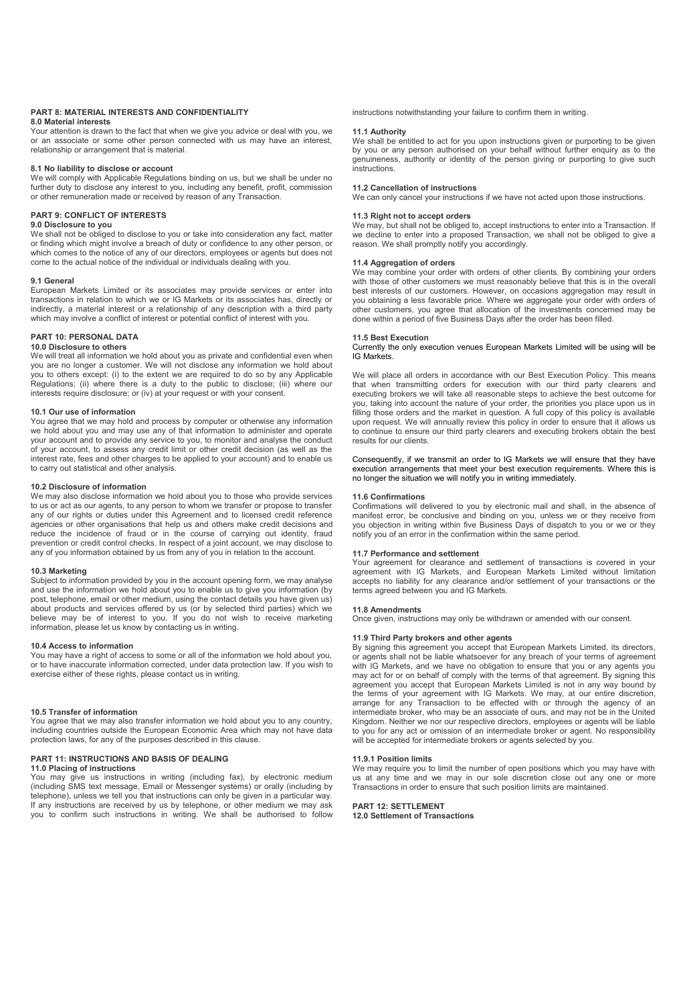#### **PART 8: MATERIAL INTERESTS AND CONFIDENTIALITY 8.0 Material interests**

Your attention is drawn to the fact that when we give you advice or deal with you, we or an associate or some other person connected with us may have an interest, relationship or arrangement that is material.

### **8.1 No liability to disclose or account**

We will comply with Applicable Regulations binding on us, but we shall be under no further duty to disclose any interest to you, including any benefit, profit, commission or other remuneration made or received by reason of any Transaction.

### **PART 9: CONFLICT OF INTERESTS**

#### **9.0 Disclosure to you**

We shall not be obliged to disclose to you or take into consideration any fact, matter or finding which might involve a breach of duty or confidence to any other person, or which comes to the notice of any of our directors, employees or agents but does not come to the actual notice of the individual or individuals dealing with you.

### **9.1 General**

European Markets Limited or its associates may provide services or enter into transactions in relation to which we or IG Markets or its associates has, directly or indirectly, a material interest or a relationship of any description with a third party which may involve a conflict of interest or potential conflict of interest with you.

### **PART 10: PERSONAL DATA**

### **10.0 Disclosure to others**

We will treat all information we hold about you as private and confidential even when you are no longer a customer. We will not disclose any information we hold about you to others except: (i) to the extent we are required to do so by any Applicable Regulations; (ii) where there is a duty to the public to disclose; (iii) where our interests require disclosure; or (iv) at your request or with your consent.

### **10.1 Our use of information**

You agree that we may hold and process by computer or otherwise any information we hold about you and may use any of that information to administer and operate your account and to provide any service to you, to monitor and analyse the conduct of your account, to assess any credit limit or other credit decision (as well as the interest rate, fees and other charges to be applied to your account) and to enable us to carry out statistical and other analysis.

### **10.2 Disclosure of information**

We may also disclose information we hold about you to those who provide services to us or act as our agents, to any person to whom we transfer or propose to transfer any of our rights or duties under this Agreement and to licensed credit reference agencies or other organisations that help us and others make credit decisions and reduce the incidence of fraud or in the course of carrying out identity, fraud prevention or credit control checks. In respect of a joint account, we may disclose to any of you information obtained by us from any of you in relation to the account.

### **10.3 Marketing**

Subject to information provided by you in the account opening form, we may analyse and use the information we hold about you to enable us to give you information (by post, telephone, email or other medium, using the contact details you have given us) about products and services offered by us (or by selected third parties) which we believe may be of interest to you. If you do not wish to receive marketing information, please let us know by contacting us in writing.

### **10.4 Access to information**

You may have a right of access to some or all of the information we hold about you, or to have inaccurate information corrected, under data protection law. If you wish to exercise either of these rights, please contact us in writing.

### **10.5 Transfer of information**

You agree that we may also transfer information we hold about you to any country, including countries outside the European Economic Area which may not have data protection laws, for any of the purposes described in this clause.

# **PART 11: INSTRUCTIONS AND BASIS OF DEALING**

# **11.0 Placing of instructions**

You may give us instructions in writing (including fax), by electronic medium (including SMS text message, Email or Messenger systems) or orally (including by telephone), unless we tell you that instructions can only be given in a particular way. If any instructions are received by us by telephone, or other medium we may ask you to confirm such instructions in writing. We shall be authorised to follow instructions notwithstanding your failure to confirm them in writing.

#### **11.1 Authority**

We shall be entitled to act for you upon instructions given or purporting to be given by you or any person authorised on your behalf without further enquiry as to the genuineness, authority or identity of the person giving or purporting to give such **instructions** 

# **11.2 Cancellation of instructions**

We can only cancel your instructions if we have not acted upon those instructions.

### **11.3 Right not to accept orders**

We may, but shall not be obliged to, accept instructions to enter into a Transaction. If we decline to enter into a proposed Transaction, we shall not be obliged to give a reason. We shall promptly notify you accordingly.

### **11.4 Aggregation of orders**

We may combine your order with orders of other clients. By combining your orders with those of other customers we must reasonably believe that this is in the overall best interests of our customers. However, on occasions aggregation may result in you obtaining a less favorable price. Where we aggregate your order with orders of other customers, you agree that allocation of the investments concerned may be done within a period of five Business Days after the order has been filled.

### **11.5 Best Execution**

Currently the only execution venues European Markets Limited will be using will be IG Markets.

We will place all orders in accordance with our Best Execution Policy. This means that when transmitting orders for execution with our third party clearers and executing brokers we will take all reasonable steps to achieve the best outcome for you, taking into account the nature of your order, the priorities you place upon us in filling those orders and the market in question. A full copy of this policy is available upon request. We will annually review this policy in order to ensure that it allows us to continue to ensure our third party clearers and executing brokers obtain the best results for our clients.

Consequently, if we transmit an order to IG Markets we will ensure that they have execution arrangements that meet your best execution requirements. Where this is no longer the situation we will notify you in writing immediately.

#### **11.6 Confirmations**

Confirmations will delivered to you by electronic mail and shall, in the absence of manifest error, be conclusive and binding on you, unless we or they receive from you objection in writing within five Business Days of dispatch to you or we or they notify you of an error in the confirmation within the same period.

# **11.7 Performance and settlement**

Your agreement for clearance and settlement of transactions is covered in your agreement with IG Markets, and European Markets Limited without limitation accepts no liability for any clearance and/or settlement of your transactions or the terms agreed between you and IG Markets.

#### **11.8 Amendments**

Once given, instructions may only be withdrawn or amended with our consent.

# **11.9 Third Party brokers and other agents**

By signing this agreement you accept that European Markets Limited, its directors, or agents shall not be liable whatsoever for any breach of your terms of agreement with IG Markets, and we have no obligation to ensure that you or any agents you may act for or on behalf of comply with the terms of that agreement. By signing this agreement you accept that European Markets Limited is not in any way bound by the terms of your agreement with IG Markets. We may, at our entire discretion, arrange for any Transaction to be effected with or through the agency of an intermediate broker, who may be an associate of ours, and may not be in the United Kingdom. Neither we nor our respective directors, employees or agents will be liable to you for any act or omission of an intermediate broker or agent. No responsibility will be accepted for intermediate brokers or agents selected by you.

### **11.9.1 Position limits**

We may require you to limit the number of open positions which you may have with us at any time and we may in our sole discretion close out any one or more Transactions in order to ensure that such position limits are maintained.

# **PART 12: SETTLEMENT**

**12.0 Settlement of Transactions**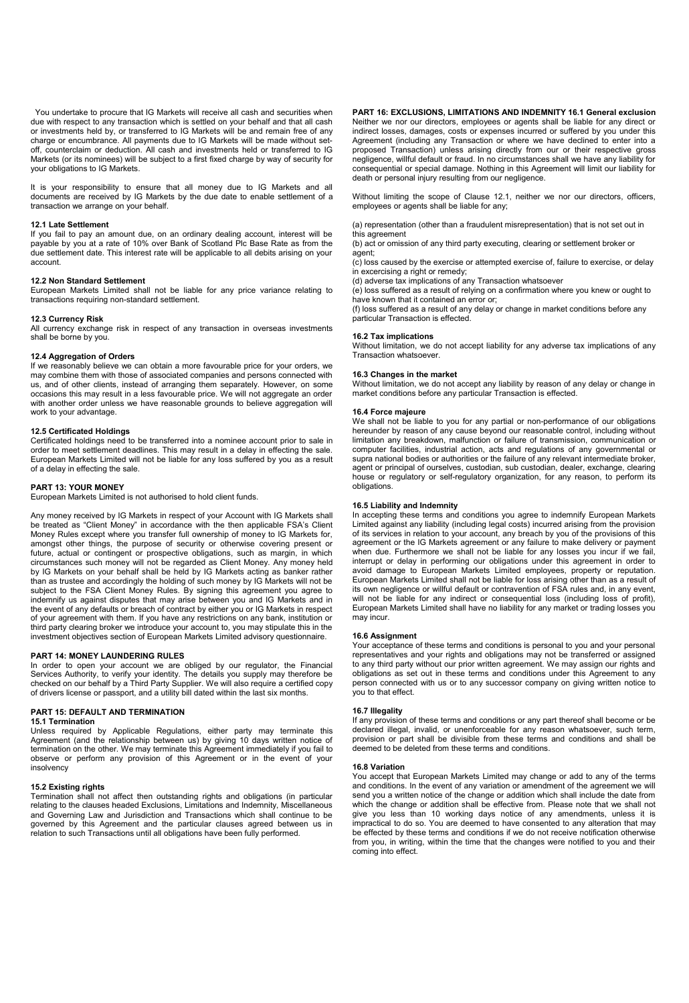You undertake to procure that IG Markets will receive all cash and securities when due with respect to any transaction which is settled on your behalf and that all cash or investments held by, or transferred to IG Markets will be and remain free of any charge or encumbrance. All payments due to IG Markets will be made without setoff, counterclaim or deduction. All cash and investments held or transferred to IG Markets (or its nominees) will be subject to a first fixed charge by way of security for your obligations to IG Markets.

It is your responsibility to ensure that all money due to IG Markets and all documents are received by IG Markets by the due date to enable settlement of a transaction we arrange on your behalf.

### **12.1 Late Settlement**

If you fail to pay an amount due, on an ordinary dealing account, interest will be payable by you at a rate of 10% over Bank of Scotland Plc Base Rate as from the due settlement date. This interest rate will be applicable to all debits arising on your account.

# **12.2 Non Standard Settlement**

European Markets Limited shall not be liable for any price variance relating to transactions requiring non-standard settlement.

#### **12.3 Currency Risk**

All currency exchange risk in respect of any transaction in overseas investments shall be borne by you.

### **12.4 Aggregation of Orders**

If we reasonably believe we can obtain a more favourable price for your orders, we may combine them with those of associated companies and persons connected with us, and of other clients, instead of arranging them separately. However, on some occasions this may result in a less favourable price. We will not aggregate an order with another order unless we have reasonable grounds to believe aggregation will work to your advantage.

# **12.5 Certificated Holdings**

Certificated holdings need to be transferred into a nominee account prior to sale in order to meet settlement deadlines. This may result in a delay in effecting the sale. European Markets Limited will not be liable for any loss suffered by you as a result of a delay in effecting the sale.

### **PART 13: YOUR MONEY**

European Markets Limited is not authorised to hold client funds.

Any money received by IG Markets in respect of your Account with IG Markets shall be treated as "Client Money" in accordance with the then applicable FSA's Client Money Rules except where you transfer full ownership of money to IG Markets for, amongst other things, the purpose of security or otherwise covering present or future, actual or contingent or prospective obligations, such as margin, in which circumstances such money will not be regarded as Client Money. Any money held by IG Markets on your behalf shall be held by IG Markets acting as banker rather than as trustee and accordingly the holding of such money by IG Markets will not be subject to the FSA Client Money Rules. By signing this agreement you agree to indemnify us against disputes that may arise between you and IG Markets and in the event of any defaults or breach of contract by either you or IG Markets in respect of your agreement with them. If you have any restrictions on any bank, institution or third party clearing broker we introduce your account to, you may stipulate this in the investment objectives section of European Markets Limited advisory questionnaire.

### **PART 14: MONEY LAUNDERING RULES**

In order to open your account we are obliged by our regulator, the Financial Services Authority, to verify your identity. The details you supply may therefore be checked on our behalf by a Third Party Supplier. We will also require a certified copy of drivers license or passport, and a utility bill dated within the last six months.

# **PART 15: DEFAULT AND TERMINATION**

# **15.1 Termination**

Unless required by Applicable Regulations, either party may terminate this Agreement (and the relationship between us) by giving 10 days written notice of termination on the other. We may terminate this Agreement immediately if you fail to observe or perform any provision of this Agreement or in the event of your insolvency

# **15.2 Existing rights**

Termination shall not affect then outstanding rights and obligations (in particular relating to the clauses headed Exclusions, Limitations and Indemnity, Miscellaneous and Governing Law and Jurisdiction and Transactions which shall continue to be governed by this Agreement and the particular clauses agreed between us in relation to such Transactions until all obligations have been fully performed.

**PART 16: EXCLUSIONS, LIMITATIONS AND INDEMNITY 16.1 General exclusion** Neither we nor our directors, employees or agents shall be liable for any direct or indirect losses, damages, costs or expenses incurred or suffered by you under this Agreement (including any Transaction or where we have declined to enter into a proposed Transaction) unless arising directly from our or their respective gross negligence, willful default or fraud. In no circumstances shall we have any liability for consequential or special damage. Nothing in this Agreement will limit our liability for death or personal injury resulting from our negligence.

Without limiting the scope of Clause 12.1, neither we nor our directors, officers, employees or agents shall be liable for any;

(a) representation (other than a fraudulent misrepresentation) that is not set out in this agreement

(b) act or omission of any third party executing, clearing or settlement broker or agent;

(c) loss caused by the exercise or attempted exercise of, failure to exercise, or delay in excercising a right or remedy;

(d) adverse tax implications of any Transaction whatsoever

(e) loss suffered as a result of relying on a confirmation where you knew or ought to have known that it contained an error or;

(f) loss suffered as a result of any delay or change in market conditions before any particular Transaction is effected.

### **16.2 Tax implications**

Without limitation, we do not accept liability for any adverse tax implications of any Transaction whatsoever.

# **16.3 Changes in the market**

Without limitation, we do not accept any liability by reason of any delay or change in market conditions before any particular Transaction is effected.

### **16.4 Force majeure**

We shall not be liable to you for any partial or non-performance of our obligations hereunder by reason of any cause beyond our reasonable control, including without limitation any breakdown, malfunction or failure of transmission, communication or computer facilities, industrial action, acts and regulations of any governmental or supra national bodies or authorities or the failure of any relevant intermediate broker, agent or principal of ourselves, custodian, sub custodian, dealer, exchange, clearing house or regulatory or self-regulatory organization, for any reason, to perform its obligations.

### **16.5 Liability and Indemnity**

In accepting these terms and conditions you agree to indemnify European Markets Limited against any liability (including legal costs) incurred arising from the provision of its services in relation to your account, any breach by you of the provisions of this agreement or the IG Markets agreement or any failure to make delivery or payment when due. Furthermore we shall not be liable for any losses you incur if we fail, interrupt or delay in performing our obligations under this agreement in order to avoid damage to European Markets Limited employees, property or reputation. European Markets Limited shall not be liable for loss arising other than as a result of its own negligence or willful default or contravention of FSA rules and, in any event, will not be liable for any indirect or consequential loss (including loss of profit), European Markets Limited shall have no liability for any market or trading losses you may incur.

#### **16.6 Assignment**

Your acceptance of these terms and conditions is personal to you and your personal representatives and your rights and obligations may not be transferred or assigned to any third party without our prior written agreement. We may assign our rights and obligations as set out in these terms and conditions under this Agreement to any person connected with us or to any successor company on giving written notice to you to that effect.

# **16.7 Illegality**

If any provision of these terms and conditions or any part thereof shall become or be declared illegal, invalid, or unenforceable for any reason whatsoever, such term, provision or part shall be divisible from these terms and conditions and shall be deemed to be deleted from these terms and conditions.

#### **16.8 Variation**

You accept that European Markets Limited may change or add to any of the terms and conditions. In the event of any variation or amendment of the agreement we will send you a written notice of the change or addition which shall include the date from which the change or addition shall be effective from. Please note that we shall not give you less than 10 working days notice of any amendments, unless it is impractical to do so. You are deemed to have consented to any alteration that may be effected by these terms and conditions if we do not receive notification otherwise from you, in writing, within the time that the changes were notified to you and their coming into effect.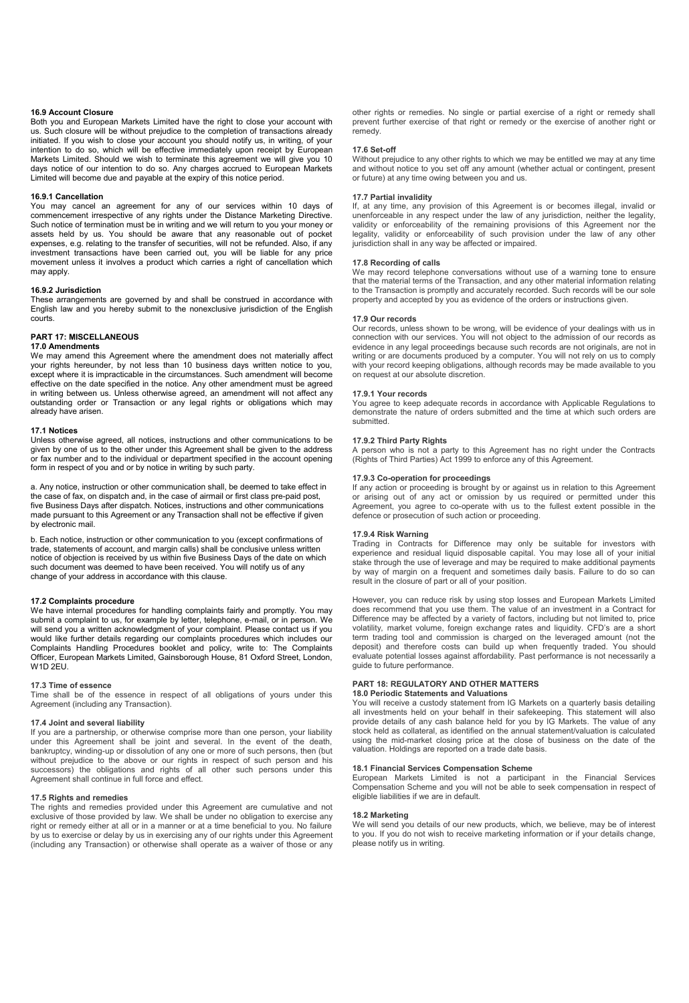### **16.9 Account Closure**

Both you and European Markets Limited have the right to close your account with us. Such closure will be without prejudice to the completion of transactions already initiated. If you wish to close your account you should notify us, in writing, of your intention to do so, which will be effective immediately upon receipt by European Markets Limited. Should we wish to terminate this agreement we will give you 10 days notice of our intention to do so. Any charges accrued to European Markets Limited will become due and payable at the expiry of this notice period.

# **16.9.1 Cancellation**

You may cancel an agreement for any of our services within 10 days of commencement irrespective of any rights under the Distance Marketing Directive. Such notice of termination must be in writing and we will return to you your money or assets held by us. You should be aware that any reasonable out of pocket expenses, e.g. relating to the transfer of securities, will not be refunded. Also, if any investment transactions have been carried out, you will be liable for any price movement unless it involves a product which carries a right of cancellation which may apply.

# **16.9.2 Jurisdiction**

These arrangements are governed by and shall be construed in accordance with English law and you hereby submit to the nonexclusive jurisdiction of the English courts.

# **PART 17: MISCELLANEOUS**

### **17.0 Amendments**

We may amend this Agreement where the amendment does not materially affect your rights hereunder, by not less than 10 business days written notice to you, except where it is impracticable in the circumstances. Such amendment will become effective on the date specified in the notice. Any other amendment must be agreed in writing between us. Unless otherwise agreed, an amendment will not affect any outstanding order or Transaction or any legal rights or obligations which may already have arisen.

### **17.1 Notices**

Unless otherwise agreed, all notices, instructions and other communications to be given by one of us to the other under this Agreement shall be given to the address or fax number and to the individual or department specified in the account opening form in respect of you and or by notice in writing by such party.

a. Any notice, instruction or other communication shall, be deemed to take effect in the case of fax, on dispatch and, in the case of airmail or first class pre-paid post, five Business Days after dispatch. Notices, instructions and other communications made pursuant to this Agreement or any Transaction shall not be effective if given by electronic mail.

b. Each notice, instruction or other communication to you (except confirmations of trade, statements of account, and margin calls) shall be conclusive unless written notice of objection is received by us within five Business Days of the date on which such document was deemed to have been received. You will notify us of any change of your address in accordance with this clause.

### **17.2 Complaints procedure**

We have internal procedures for handling complaints fairly and promptly. You may submit a complaint to us, for example by letter, telephone, e-mail, or in person. We will send you a written acknowledgment of your complaint. Please contact us if you would like further details regarding our complaints procedures which includes our Complaints Handling Procedures booklet and policy, write to: The Complaints Officer, European Markets Limited, Gainsborough House, 81 Oxford Street, London, W1D 2EU.

### **17.3 Time of essence**

Time shall be of the essence in respect of all obligations of yours under this Agreement (including any Transaction).

### **17.4 Joint and several liability**

If you are a partnership, or otherwise comprise more than one person, your liability under this Agreement shall be joint and several. In the event of the death, bankruptcy, winding-up or dissolution of any one or more of such persons, then (but without prejudice to the above or our rights in respect of such person and his successors) the obligations and rights of all other such persons under this Agreement shall continue in full force and effect.

### **17.5 Rights and remedies**

The rights and remedies provided under this Agreement are cumulative and not exclusive of those provided by law. We shall be under no obligation to exercise any right or remedy either at all or in a manner or at a time beneficial to you. No failure by us to exercise or delay by us in exercising any of our rights under this Agreement (including any Transaction) or otherwise shall operate as a waiver of those or any other rights or remedies. No single or partial exercise of a right or remedy shall prevent further exercise of that right or remedy or the exercise of another right or remedy.

### **17.6 Set-off**

Without prejudice to any other rights to which we may be entitled we may at any time and without notice to you set off any amount (whether actual or contingent, present or future) at any time owing between you and us.

### **17.7 Partial invalidity**

If, at any time, any provision of this Agreement is or becomes illegal, invalid or unenforceable in any respect under the law of any jurisdiction, neither the legality, validity or enforceability of the remaining provisions of this Agreement nor the legality, validity or enforceability of such provision under the law of any other jurisdiction shall in any way be affected or impaired.

### **17.8 Recording of calls**

We may record telephone conversations without use of a warning tone to ensure that the material terms of the Transaction, and any other material information relating to the Transaction is promptly and accurately recorded. Such records will be our sole property and accepted by you as evidence of the orders or instructions given.

#### **17.9 Our records**

Our records, unless shown to be wrong, will be evidence of your dealings with us in connection with our services. You will not object to the admission of our records as evidence in any legal proceedings because such records are not originals, are not in writing or are documents produced by a computer. You will not rely on us to comply with your record keeping obligations, although records may be made available to you on request at our absolute discretion.

### **17.9.1 Your records**

You agree to keep adequate records in accordance with Applicable Regulations to demonstrate the nature of orders submitted and the time at which such orders are submitted.

### **17.9.2 Third Party Rights**

A person who is not a party to this Agreement has no right under the Contracts (Rights of Third Parties) Act 1999 to enforce any of this Agreement.

### **17.9.3 Co-operation for proceedings**

If any action or proceeding is brought by or against us in relation to this Agreement or arising out of any act or omission by us required or permitted under this Agreement, you agree to co-operate with us to the fullest extent possible in the defence or prosecution of such action or proceeding.

# **17.9.4 Risk Warning**

Trading in Contracts for Difference may only be suitable for investors with experience and residual liquid disposable capital. You may lose all of your initial stake through the use of leverage and may be required to make additional payments by way of margin on a frequent and sometimes daily basis. Failure to do so can result in the closure of part or all of your position.

However, you can reduce risk by using stop losses and European Markets Limited does recommend that you use them. The value of an investment in a Contract for Difference may be affected by a variety of factors, including but not limited to, price volatility, market volume, foreign exchange rates and liquidity. CFD's are a short term trading tool and commission is charged on the leveraged amount (not the deposit) and therefore costs can build up when frequently traded. You should evaluate potential losses against affordability. Past performance is not necessarily a guide to future performance.

### **PART 18: REGULATORY AND OTHER MATTERS 18.0 Periodic Statements and Valuations**

You will receive a custody statement from IG Markets on a quarterly basis detailing all investments held on your behalf in their safekeeping. This statement will also provide details of any cash balance held for you by IG Markets. The value of any stock held as collateral, as identified on the annual statement/valuation is calculated using the mid-market closing price at the close of business on the date of the valuation. Holdings are reported on a trade date basis.

# **18.1 Financial Services Compensation Scheme**

European Markets Limited is not a participant in the Financial Services Compensation Scheme and you will not be able to seek compensation in respect of eligible liabilities if we are in default.

### **18.2 Marketing**

We will send you details of our new products, which, we believe, may be of interest to you. If you do not wish to receive marketing information or if your details change, please notify us in writing.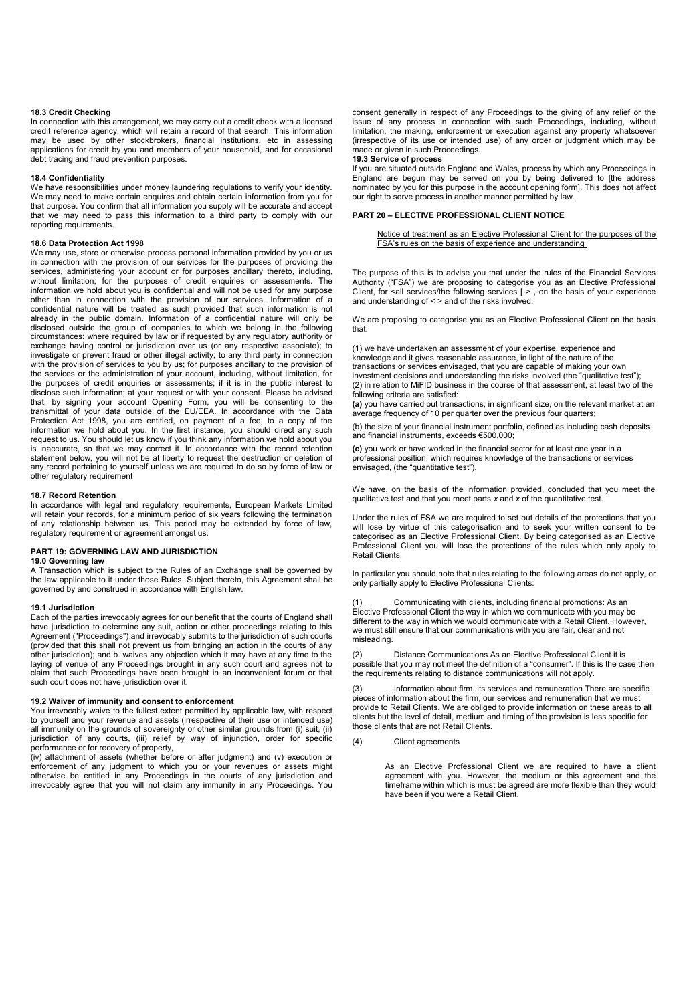### **18.3 Credit Checking**

In connection with this arrangement, we may carry out a credit check with a licensed credit reference agency, which will retain a record of that search. This information may be used by other stockbrokers, financial institutions, etc in assessing applications for credit by you and members of your household, and for occasional debt tracing and fraud prevention purposes.

### **18.4 Confidentiality**

We have responsibilities under money laundering regulations to verify your identity. We may need to make certain enquires and obtain certain information from you for that purpose. You confirm that all information you supply will be accurate and accept that we may need to pass this information to a third party to comply with our reporting requirements.

# **18.6 Data Protection Act 1998**

We may use, store or otherwise process personal information provided by you or us in connection with the provision of our services for the purposes of providing the services, administering your account or for purposes ancillary thereto, including, without limitation, for the purposes of credit enquiries or assessments. The information we hold about you is confidential and will not be used for any purpose other than in connection with the provision of our services. Information of a confidential nature will be treated as such provided that such information is not already in the public domain. Information of a confidential nature will only be disclosed outside the group of companies to which we belong in the following circumstances: where required by law or if requested by any regulatory authority or exchange having control or jurisdiction over us (or any respective associate); to investigate or prevent fraud or other illegal activity; to any third party in connection with the provision of services to you by us; for purposes ancillary to the provision of the services or the administration of your account, including, without limitation, for the purposes of credit enquiries or assessments; if it is in the public interest to disclose such information; at your request or with your consent. Please be advised that, by signing your account Opening Form, you will be consenting to the transmittal of your data outside of the EU/EEA. In accordance with the Data Protection Act 1998, you are entitled, on payment of a fee, to a copy of the information we hold about you. In the first instance, you should direct any such request to us. You should let us know if you think any information we hold about you is inaccurate, so that we may correct it. In accordance with the record retention statement below, you will not be at liberty to request the destruction or deletion of any record pertaining to yourself unless we are required to do so by force of law or other regulatory requirement

# **18.7 Record Retention**

In accordance with legal and regulatory requirements, European Markets Limited will retain your records, for a minimum period of six years following the termination of any relationship between us. This period may be extended by force of law, regulatory requirement or agreement amongst us.

### **PART 19: GOVERNING LAW AND JURISDICTION**

### **19.0 Governing law**

A Transaction which is subject to the Rules of an Exchange shall be governed by the law applicable to it under those Rules. Subject thereto, this Agreement shall be governed by and construed in accordance with English law.

### **19.1 Jurisdiction**

Each of the parties irrevocably agrees for our benefit that the courts of England shall have jurisdiction to determine any suit, action or other proceedings relating to this Agreement ("Proceedings") and irrevocably submits to the jurisdiction of such courts (provided that this shall not prevent us from bringing an action in the courts of any other jurisdiction); and b. waives any objection which it may have at any time to the laying of venue of any Proceedings brought in any such court and agrees not to claim that such Proceedings have been brought in an inconvenient forum or that such court does not have jurisdiction over it.

# **19.2 Waiver of immunity and consent to enforcement**

You irrevocably waive to the fullest extent permitted by applicable law, with respect to yourself and your revenue and assets (irrespective of their use or intended use) all immunity on the grounds of sovereignty or other similar grounds from (i) suit, (ii) jurisdiction of any courts, (iii) relief by way of injunction, order for specific performance or for recovery of property,

(iv) attachment of assets (whether before or after judgment) and (v) execution or enforcement of any judgment to which you or your revenues or assets might otherwise be entitled in any Proceedings in the courts of any jurisdiction and irrevocably agree that you will not claim any immunity in any Proceedings. You

consent generally in respect of any Proceedings to the giving of any relief or the issue of any process in connection with such Proceedings, including, without limitation, the making, enforcement or execution against any property whatsoever (irrespective of its use or intended use) of any order or judgment which may be made or given in such Proceedings.

#### **19.3 Service of process**

If you are situated outside England and Wales, process by which any Proceedings in England are begun may be served on you by being delivered to [the address nominated by you for this purpose in the account opening form]. This does not affect our right to serve process in another manner permitted by law.

# **PART 20 – ELECTIVE PROFESSIONAL CLIENT NOTICE**

Notice of treatment as an Elective Professional Client for the purposes of the FSA's rules on the basis of experience and understanding

The purpose of this is to advise you that under the rules of the Financial Services Authority ("FSA") we are proposing to categorise you as an Elective Professional Client, for  $\le$ all services/the following services [ $>$ , on the basis of your experience and understanding of < > and of the risks involved.

We are proposing to categorise you as an Elective Professional Client on the basis that:

(1) we have undertaken an assessment of your expertise, experience and knowledge and it gives reasonable assurance, in light of the nature of the transactions or services envisaged, that you are capable of making your own investment decisions and understanding the risks involved (the "qualitative test"); (2) in relation to MiFID business in the course of that assessment, at least two of the following criteria are satisfied:

**(a)** you have carried out transactions, in significant size, on the relevant market at an average frequency of 10 per quarter over the previous four quarters;

(b) the size of your financial instrument portfolio, defined as including cash deposits and financial instruments, exceeds €500,000;

**(c)** you work or have worked in the financial sector for at least one year in a professional position, which requires knowledge of the transactions or services envisaged, (the "quantitative test").

We have, on the basis of the information provided, concluded that you meet the qualitative test and that you meet parts *x* and *x* of the quantitative test.

Under the rules of FSA we are required to set out details of the protections that you will lose by virtue of this categorisation and to seek your written consent to be categorised as an Elective Professional Client. By being categorised as an Elective Professional Client you will lose the protections of the rules which only apply to Retail Clients.

In particular you should note that rules relating to the following areas do not apply, or only partially apply to Elective Professional Clients:

(1) Communicating with clients, including financial promotions: As an Elective Professional Client the way in which we communicate with you may be different to the way in which we would communicate with a Retail Client. However, we must still ensure that our communications with you are fair, clear and not misleading.

(2) Distance Communications As an Elective Professional Client it is possible that you may not meet the definition of a "consumer". If this is the case then the requirements relating to distance communications will not apply.

(3) Information about firm, its services and remuneration There are specific pieces of information about the firm, our services and remuneration that we must provide to Retail Clients. We are obliged to provide information on these areas to all clients but the level of detail, medium and timing of the provision is less specific for those clients that are not Retail Clients.

(4) Client agreements

As an Elective Professional Client we are required to have a client agreement with you. However, the medium or this agreement and the timeframe within which is must be agreed are more flexible than they would have been if you were a Retail Client.